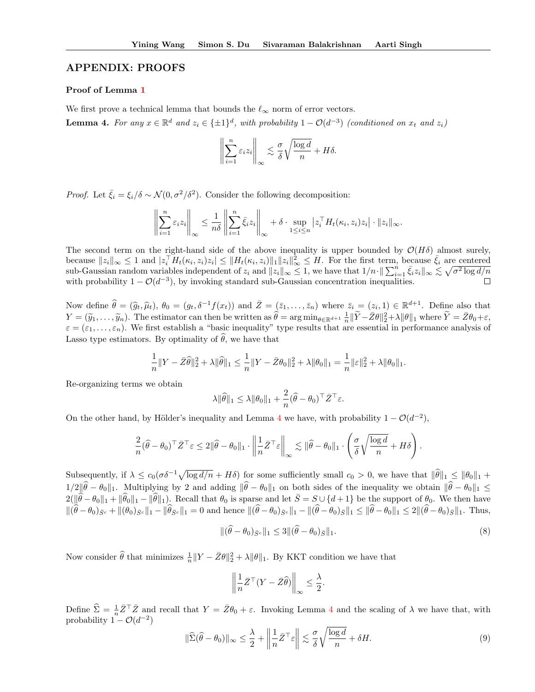# APPENDIX: PROOFS

### Proof of Lemma 1

We first prove a technical lemma that bounds the  $\ell_{\infty}$  norm of error vectors.

**Lemma 4.** For any  $x \in \mathbb{R}^d$  and  $z_i \in \{\pm 1\}^d$ , with probability  $1 - \mathcal{O}(d^{-3})$  (conditioned on  $x_t$  and  $z_i$ )

$$
\left\| \sum_{i=1}^n \varepsilon_i z_i \right\|_{\infty} \lesssim \frac{\sigma}{\delta} \sqrt{\frac{\log d}{n}} + H\delta.
$$

*Proof.* Let  $\bar{\xi}_i = \xi_i/\delta \sim \mathcal{N}(0, \sigma^2/\delta^2)$ . Consider the following decomposition:

$$
\left\| \sum_{i=1}^n \varepsilon_i z_i \right\|_{\infty} \leq \frac{1}{n\delta} \left\| \sum_{i=1}^n \bar{\xi}_i z_i \right\|_{\infty} + \delta \cdot \sup_{1 \leq i \leq n} |z_i^{\top} H_t(\kappa_i, z_i) z_i| \cdot \|z_i\|_{\infty}.
$$

The second term on the right-hand side of the above inequality is upper bounded by  $\mathcal{O}(H\delta)$  almost surely, because  $||z_i||_\infty \leq 1$  and  $|z_i^{\top}H_t(\kappa_i, z_i)z_i| \leq ||H_t(\kappa_i, z_i)||_1||z_i||_\infty^2 \leq H$ . For the first term, because  $\bar{\xi}_i$  are centered sub-Gaussian random variables independent of  $z_i$  and  $||z_i||_{\infty} \leq 1$ , we have that  $1/n \cdot ||\sum_{i=1}^n \bar{\xi}_i z_i||_{\infty} \leq \sqrt{\sigma^2 \log d/n}$ with probability  $1 - \mathcal{O}(d^{-3})$ , by invoking standard sub-Gaussian concentration inequalities.

Now define  $\hat{\theta} = (\hat{g}_t, \hat{\mu}_t), \theta_0 = (g_t, \delta^{-1}f(x_t))$  and  $\bar{Z} = (\bar{z}_1, \ldots, \bar{z}_n)$  where  $\bar{z}_i = (z_i, 1) \in \mathbb{R}^{d+1}$ . Define also that  $Y = (\widetilde{y}_1, \ldots, \widetilde{y}_n)$ . The estimator can then be written as  $\widehat{\theta} = \arg \min_{\theta \in \mathbb{R}^{d+1}} \frac{1}{n} \|\widetilde{Y} - \bar{Z}\theta\|_2^2 + \lambda \|\theta\|_1$  where  $\widetilde{Y} = \bar{Z}\theta_0 + \varepsilon$ ,  $\varepsilon = (\varepsilon_1, \ldots, \varepsilon_n)$ . We first establish a "basic inequality" type results that are essential in performance analysis of Lasso type estimators. By optimality of  $\hat{\theta}$ , we have that

$$
\frac{1}{n}||Y - \bar{Z}\hat{\theta}||_2^2 + \lambda ||\hat{\theta}||_1 \le \frac{1}{n}||Y - \bar{Z}\theta_0||_2^2 + \lambda ||\theta_0||_1 = \frac{1}{n}||\varepsilon||_2^2 + \lambda ||\theta_0||_1.
$$

Re-organizing terms we obtain

$$
\lambda \|\widehat{\theta}\|_1 \le \lambda \|\theta_0\|_1 + \frac{2}{n}(\widehat{\theta} - \theta_0)^\top \bar{Z}^\top \varepsilon.
$$

On the other hand, by Hölder's inequality and Lemma 4 we have, with probability  $1 - \mathcal{O}(d^{-2})$ ,

$$
\frac{2}{n}(\widehat{\theta}-\theta_0)^\top \bar{Z}^\top \varepsilon \leq 2\|\widehat{\theta}-\theta_0\|_1 \cdot \left\|\frac{1}{n}\bar{Z}^\top \varepsilon\right\|_\infty \lesssim \|\widehat{\theta}-\theta_0\|_1 \cdot \left(\frac{\sigma}{\delta} \sqrt{\frac{\log d}{n}} + H\delta\right).
$$

Subsequently, if  $\lambda \leq c_0(\sigma \delta^{-1} \sqrt{\log d/n} + H\delta)$  for some sufficiently small  $c_0 > 0$ , we have that  $\|\widehat{\theta}\|_1 \leq \|\theta_0\|_1 +$  $1/2\|\hat{\theta}-\theta_0\|_1$ . Multiplying by 2 and adding  $\|\hat{\theta}-\theta_0\|_1$  on both sides of the inequality we obtain  $\|\hat{\theta}-\theta_0\|_1 \leq$  $2(\|\hat{\theta}-\theta_0\|_1 + \|\hat{\theta}_0\|_1 - \|\hat{\theta}\|_1)$ . Recall that  $\theta_0$  is sparse and let  $\bar{S} = S \cup \{d+1\}$  be the support of  $\theta_0$ . We then have  $\|(\theta - \theta_0)_{\bar{S}^c} + \|(\theta_0)_{\bar{S}^c}\|_1 - \|\theta_{\bar{S}^c}\|_1 = 0$  and hence  $\|(\theta - \theta_0)_{\bar{S}^c}\|_1 - \|(\theta - \theta_0)_{\bar{S}}\|_1 \le \|\theta - \theta_0\|_1 \le 2\|(\theta - \theta_0)_{\bar{S}}\|_1$ . Thus,

$$
\|(\widehat{\theta} - \theta_0)_{\bar{S}^c}\|_1 \le 3 \|\widehat{\theta} - \theta_0\|_{\bar{S}}\|_1. \tag{8}
$$

Now consider  $\hat{\theta}$  that minimizes  $\frac{1}{n} ||Y - \bar{Z}\theta||_2^2 + \lambda ||\theta||_1$ . By KKT condition we have that

$$
\left\| \frac{1}{n} \bar{Z}^\top (Y - \bar{Z}\widehat{\theta}) \right\|_{\infty} \le \frac{\lambda}{2}.
$$

Define  $\hat{\Sigma} = \frac{1}{n} \bar{Z}^\top \bar{Z}$  and recall that  $Y = \bar{Z}\theta_0 + \varepsilon$ . Invoking Lemma 4 and the scaling of  $\lambda$  we have that, with probability  $1 - \mathcal{O}(d^{-2})$ 

$$
\|\widehat{\Sigma}(\widehat{\theta}-\theta_0)\|_{\infty} \leq \frac{\lambda}{2} + \left\|\frac{1}{n}\bar{Z}^{\top}\varepsilon\right\| \lesssim \frac{\sigma}{\delta}\sqrt{\frac{\log d}{n}} + \delta H. \tag{9}
$$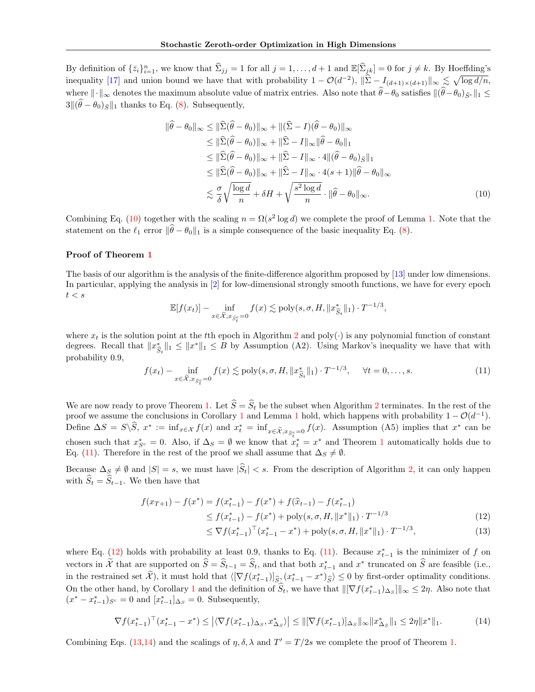By definition of  $\{\bar{z}_i\}_{i=1}^n$ , we know that  $\hat{\Sigma}_{jj} = 1$  for all  $j = 1, \ldots, d+1$  and  $\mathbb{E}[\hat{\Sigma}_{jk}] = 0$  for  $j \neq k$ . By Hoeffding's inequality [17] and union bound we have that with probability  $1 - \mathcal{O}(d^{-2})$ ,  $\|\hat{\Sigma} - I_{(d+1)\times(d+1)}\|_{\infty} \lesssim \sqrt{\log d/n}$ , where  $\|\cdot\|_{\infty}$  denotes the maximum absolute value of matrix entries. Also note that  $\hat{\theta}-\theta_0$  satisfies  $\|(\hat{\theta}-\theta_0)_{\bar{S}c}\|_1 \leq$  $3\|(\theta - \theta_0)_{\bar{S}}\|_1$  thanks to Eq. (8). Subsequently,

$$
\|\hat{\theta} - \theta_0\|_{\infty} \le \|\hat{\Sigma}(\hat{\theta} - \theta_0)\|_{\infty} + \|(\hat{\Sigma} - I)(\hat{\theta} - \theta_0)\|_{\infty} \le \|\hat{\Sigma}(\hat{\theta} - \theta_0)\|_{\infty} + \|\hat{\Sigma} - I\|_{\infty} \|\hat{\theta} - \theta_0\|_{1} \le \|\hat{\Sigma}(\hat{\theta} - \theta_0)\|_{\infty} + \|\hat{\Sigma} - I\|_{\infty} \cdot 4 \|(\hat{\theta} - \theta_0)_{\bar{S}}\|_{1} \le \|\hat{\Sigma}(\hat{\theta} - \theta_0)\|_{\infty} + \|\hat{\Sigma} - I\|_{\infty} \cdot 4(s+1) \|\hat{\theta} - \theta_0\|_{\infty} \le \frac{\sigma}{\delta} \sqrt{\frac{\log d}{n}} + \delta H + \sqrt{\frac{s^2 \log d}{n}} \cdot \|\hat{\theta} - \theta_0\|_{\infty}.
$$
\n(10)

Combining Eq. (10) together with the scaling  $n = \Omega(s^2 \log d)$  we complete the proof of Lemma 1. Note that the statement on the  $\ell_1$  error  $\|\widehat{\theta}-\theta_0\|_1$  is a simple consequence of the basic inequality Eq. (8).

# Proof of Theorem 1

The basis of our algorithm is the analysis of the finite-difference algorithm proposed by [13] under low dimensions. In particular, applying the analysis in [2] for low-dimensional strongly smooth functions, we have for every epoch  $t < s$ 

$$
\mathbb{E}[f(x_t)] - \inf_{x \in \widetilde{\mathcal{X}}, x_{\widehat{S}_t^c} = 0} f(x) \lesssim \text{poly}(s, \sigma, H, \|x_{\widehat{S}_t}^*\|_1) \cdot T^{-1/3},
$$

where  $x_t$  is the solution point at the tth epoch in Algorithm 2 and poly( $\cdot$ ) is any polynomial function of constant degrees. Recall that  $||x_{\hat{s}_t}^*||_1 \le ||x^*||_1 \le B$  by Assumption (A2). Using Markov's inequality we have that with probability 0.9,

$$
f(x_t) - \inf_{x \in \tilde{\mathcal{X}}, x_{\tilde{S}_t^c} = 0} f(x) \lesssim \text{poly}(s, \sigma, H, \|x_{\hat{S}_t}^*\|_1) \cdot T^{-1/3}, \quad \forall t = 0, \dots, s.
$$
 (11)

We are now ready to prove Theorem 1. Let  $\hat{S} = \hat{S}_t$  be the subset when Algorithm 2 terminates. In the rest of the proof we assume the conclusions in Corollary 1 and Lemma 1 hold, which happens with probability  $1 - \mathcal{O}(d^{-1})$ . Define  $\Delta S = S \setminus S$ ,  $x^* := \inf_{x \in \mathcal{X}} f(x)$  and  $x_t^* = \inf_{x \in \tilde{\mathcal{X}}, x_{\tilde{S}_t^c} = 0} f(x)$ . Assumption (A5) implies that  $x^*$  can be chosen such that  $x_{S^c}^* = 0$ . Also, if  $\Delta_S = \emptyset$  we know that  $x_t^* = x^*$  and Theorem 1 automatically holds due to Eq. (11). Therefore in the rest of the proof we shall assume that  $\Delta_S \neq \emptyset$ .

Because  $\Delta_S \neq \emptyset$  and  $|S| = s$ , we must have  $|\widehat{S}_t| < s$ . From the description of Algorithm 2, it can only happen with  $\widehat{S}_t = \widehat{S}_{t-1}$ . We then have that

$$
f(x_{T+1}) - f(x^*) = f(x_{t-1}^*) - f(x^*) + f(\hat{x}_{t-1}) - f(x_{t-1}^*)
$$
  
\n
$$
\leq f(x_{t-1}^*) - f(x^*) + \text{poly}(s, \sigma, H, \|x^*\|_1) \cdot T^{-1/3}
$$
\n(12)

$$
\leq \nabla f(x_{t-1}^*)^\top (x_{t-1}^* - x^*) + \text{poly}(s, \sigma, H, \|x^*\|_1) \cdot T^{-1/3},\tag{13}
$$

where Eq.  $(12)$  holds with probability at least 0.9, thanks to Eq. (11). Because  $x_{t-1}^*$  is the minimizer of f on vectors in X that are supported on  $S = S_{t-1} = S_t$ , and that both  $x_{t-1}^*$  and  $x^*$  truncated on S are feasible (i.e., in the restrained set  $\mathcal{X}$ ), it must hold that  $\langle \left[ \nabla f(x_{t-1}^*) \right]_{\widehat{S}} \rangle (x_{t-1}^* - x^*)_{\widehat{S}} \rangle \leq 0$  by first-order optimality conditions. On the other hand, by Corollary 1 and the definition of  $S_t$ , we have that  $\|\nabla f(x_{t-1}^*)\Delta_s\|\|_{\infty} \leq 2\eta$ . Also note that  $(x^* - x_{t-1}^*)_{S^c} = 0$  and  $[x_{t-1}^*]_{\Delta_S} = 0$ . Subsequently,

$$
\nabla f(x_{t-1}^*)^\top (x_{t-1}^* - x^*) \le |\langle \nabla f(x_{t-1}^*)_{\Delta_S}, x_{\Delta_S}^* \rangle| \le ||[\nabla f(x_{t-1}^*)]_{\Delta_S}||_{\infty} ||x_{\Delta_S}^*||_1 \le 2\eta ||x^*||_1. \tag{14}
$$

Combining Eqs. (13,14) and the scalings of  $\eta$ ,  $\delta$ ,  $\lambda$  and  $T' = T/2s$  we complete the proof of Theorem 1.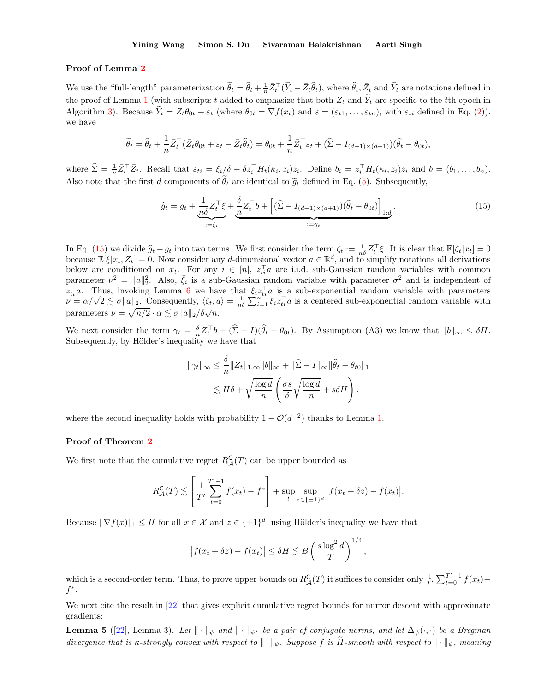### Proof of Lemma 2

We use the "full-length" parameterization  $\widetilde{\theta}_t = \widehat{\theta}_t + \frac{1}{n} \bar{Z}_t^{\top} (\widetilde{Y}_t - \bar{Z}_t \widehat{\theta}_t)$ , where  $\widehat{\theta}_t, \bar{Z}_t$  and  $\widetilde{Y}_t$  are notations defined in the proof of Lemma 1 (with subscripts t added to emphasize that both  $Z_t$  and  $\tilde{Y}_t$  are specific to the tth epoch in Algorithm 3). Because  $\widetilde{Y}_t = \bar{Z}_t \theta_{0t} + \varepsilon_t$  (where  $\theta_{0t} = \nabla f(x_t)$  and  $\varepsilon = (\varepsilon_{t1}, \dots, \varepsilon_{tn})$ , with  $\varepsilon_{ti}$  defined in Eq. (2)). we have

$$
\widetilde{\theta}_t = \widehat{\theta}_t + \frac{1}{n} \bar{Z}_t^{\top} (\bar{Z}_t \theta_{0t} + \varepsilon_t - \bar{Z}_t \widehat{\theta}_t) = \theta_{0t} + \frac{1}{n} \bar{Z}_t^{\top} \varepsilon_t + (\widehat{\Sigma} - I_{(d+1) \times (d+1)}) (\widehat{\theta}_t - \theta_{0t}),
$$

where  $\hat{\Sigma} = \frac{1}{n} \bar{Z}_t^{\top} \bar{Z}_t$ . Recall that  $\varepsilon_{ti} = \xi_i/\delta + \delta z_i^{\top} H_t(\kappa_i, z_i) z_i$ . Define  $b_i = z_i^{\top} H_t(\kappa_i, z_i) z_i$  and  $b = (b_1, \ldots, b_n)$ . Also note that the first d components of  $\hat{\theta}_t$  are identical to  $\tilde{g}_t$  defined in Eq. (5). Subsequently,

$$
\widehat{g}_t = g_t + \underbrace{\frac{1}{n\delta} Z_t^\top \xi}_{:= \zeta_t} + \underbrace{\frac{\delta}{n} Z_t^\top b + \left[ (\widehat{\Sigma} - I_{(d+1)\times(d+1)}) (\widehat{\theta}_t - \theta_{0t}) \right]_{1:d}}_{:= \gamma_t}.
$$
\n(15)

In Eq. (15) we divide  $\hat{g}_t - g_t$  into two terms. We first consider the term  $\zeta_t := \frac{1}{n\delta} Z_t^\top \xi$ . It is clear that  $\mathbb{E}[\zeta_t | x_t] = 0$ because  $\mathbb{E}[\xi|x_t, Z_t] = 0$ . Now consider any d-dimensional vector  $a \in \mathbb{R}^d$ , and to simplify notations all derivations below are conditioned on  $x_t$ . For any  $i \in [n]$ ,  $z_{ti}$  a are i.i.d. sub-Gaussian random variables with common parameter  $\nu^2 = ||a||_2^2$ . Also,  $\bar{\xi}_i$  is a sub-Gaussian random variable with parameter  $\sigma^2$  and is independent of  $z_{ti}^{\perp}a$ . Thus, invoking Lemma 6 we have that  $\xi_i z_{ti}^{\perp}a$  is a sub-exponential random variable with parameters  $\nu = \alpha/\sqrt{2} \lesssim \sigma \|a\|_2$ . Consequently,  $\langle \zeta_t, a \rangle = \frac{1}{n\delta} \sum_{i=1}^n \xi_i z_{ti}^\top a$  is a centered sub-ex parameters  $\nu = \sqrt{n/2} \cdot \alpha \lesssim \sigma ||a||_2 / \delta \sqrt{n}$ .

We next consider the term  $\gamma_t = \frac{\delta}{n} Z_t^{\top} b + (\hat{\Sigma} - I)(\hat{\theta}_t - \theta_{0t})$ . By Assumption (A3) we know that  $||b||_{\infty} \leq \delta H$ . Subsequently, by Hölder's inequality we have that

$$
\|\gamma_t\|_{\infty} \leq \frac{\delta}{n} \|Z_t\|_{1,\infty} \|b\|_{\infty} + \|\widehat{\Sigma} - I\|_{\infty} \|\widehat{\theta}_t - \theta_{t0}\|_1
$$
  

$$
\lesssim H\delta + \sqrt{\frac{\log d}{n}} \left(\frac{\sigma s}{\delta} \sqrt{\frac{\log d}{n}} + s\delta H\right).
$$

where the second inequality holds with probability  $1 - \mathcal{O}(d^{-2})$  thanks to Lemma 1.

# Proof of Theorem 2

We first note that the cumulative regret  $R^{\mathsf{C}}_{\mathcal{A}}(T)$  can be upper bounded as

$$
R_{\mathcal{A}}^{\mathsf{C}}(T) \lesssim \left[ \frac{1}{T'} \sum_{t=0}^{T'-1} f(x_t) - f^* \right] + \sup_{t} \sup_{z \in \{\pm 1\}^d} |f(x_t + \delta z) - f(x_t)|.
$$

Because  $\|\nabla f(x)\|_1 \leq H$  for all  $x \in \mathcal{X}$  and  $z \in {\{\pm 1\}}^d$ , using Hölder's inequality we have that

$$
\left|f(x_t + \delta z) - f(x_t)\right| \le \delta H \lesssim B\left(\frac{s\log^2 d}{T}\right)^{1/4},
$$

which is a second-order term. Thus, to prove upper bounds on  $R^{\mathsf{C}}_{\mathcal{A}}(T)$  it suffices to consider only  $\frac{1}{T'}\sum_{t=0}^{T'-1}f(x_t)$  $f^*$  .

We next cite the result in [22] that gives explicit cumulative regret bounds for mirror descent with approximate gradients:

**Lemma 5** ([22], Lemma 3). Let  $\|\cdot\|_{\psi}$  and  $\|\cdot\|_{\psi^*}$  be a pair of conjugate norms, and let  $\Delta_{\psi}(\cdot, \cdot)$  be a Bregman divergence that is κ-strongly convex with respect to  $\|\cdot\|_{\psi}$ . Suppose f is H-smooth with respect to  $\|\cdot\|_{\psi}$ , meaning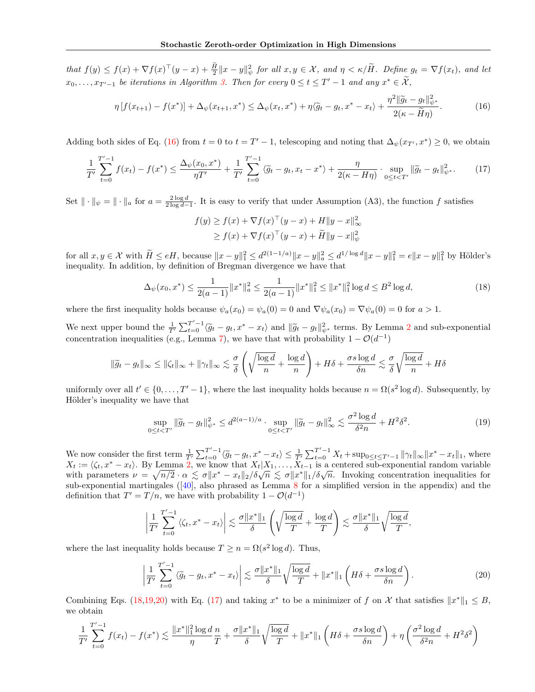that  $f(y) \leq f(x) + \nabla f(x)^\top (y-x) + \frac{H}{2} \|x-y\|_{\psi}^2$  for all  $x, y \in \mathcal{X}$ , and  $\eta < \kappa / H$ . Define  $g_t = \nabla f(x_t)$ , and let  $x_0, \ldots, x_{T'-1}$  be iterations in Algorithm 3. Then for every  $0 \le t \le T'-1$  and any  $x^* \in \mathcal{X}$ ,

$$
\eta \left[ f(x_{t+1}) - f(x^*) \right] + \Delta_{\psi}(x_{t+1}, x^*) \le \Delta_{\psi}(x_t, x^*) + \eta \langle \widetilde{g}_t - g_t, x^* - x_t \rangle + \frac{\eta^2 \|\widetilde{g}_t - g_t\|_{\psi^*}^2}{2(\kappa - \widetilde{H}\eta)}.
$$
\n(16)

Adding both sides of Eq. (16) from  $t = 0$  to  $t = T' - 1$ , telescoping and noting that  $\Delta_{\psi}(x_{T'}, x^*) \ge 0$ , we obtain

$$
\frac{1}{T'}\sum_{t=0}^{T'-1} f(x_t) - f(x^*) \le \frac{\Delta_{\psi}(x_0, x^*)}{\eta T'} + \frac{1}{T'}\sum_{t=0}^{T'-1} \langle \tilde{g}_t - g_t, x_t - x^* \rangle + \frac{\eta}{2(\kappa - H\eta)} \cdot \sup_{0 \le t < T'} ||\tilde{g}_t - g_t||_{\psi^*}^2. \tag{17}
$$

Set  $\|\cdot\|_{\psi} = \|\cdot\|_{a}$  for  $a = \frac{2\log d}{2\log d - 1}$ . It is easy to verify that under Assumption (A3), the function f satisfies

$$
f(y) \ge f(x) + \nabla f(x)^\top (y - x) + H \|y - x\|_\infty^2
$$
  
 
$$
\ge f(x) + \nabla f(x)^\top (y - x) + \widetilde{H} \|y - x\|_\psi^2
$$

for all  $x, y \in \mathcal{X}$  with  $H \le eH$ , because  $||x - y||_1^2 \le d^{2(1-1/a)} ||x - y||_a^2 \le d^{1/\log d} ||x - y||_1^2 = e||x - y||_1^2$  by Hölder's inequality. In addition, by definition of Bregman divergence we have that

$$
\Delta_{\psi}(x_0, x^*) \le \frac{1}{2(a-1)} \|x^*\|_a^2 \le \frac{1}{2(a-1)} \|x^*\|_1^2 \le \|x^*\|_1^2 \log d \le B^2 \log d,\tag{18}
$$

where the first inequality holds because  $\psi_a(x_0) = \psi_a(0) = 0$  and  $\nabla \psi_a(x_0) = \nabla \psi_a(0) = 0$  for  $a > 1$ .

We next upper bound the  $\frac{1}{T} \sum_{t=0}^{T'-1} \langle \tilde{g}_t - g_t, x^* - x_t \rangle$  and  $\|\tilde{g}_t - g_t\|_{\psi^*}^2$  terms. By Lemma 2 and sub-exponential concentration inequalities (e.g., Lemma 7), we have that with probability  $1 - \mathcal{O}(d^{-1})$ 

$$
\|\widetilde{g}_t - g_t\|_{\infty} \le \|\zeta_t\|_{\infty} + \|\gamma_t\|_{\infty} \lesssim \frac{\sigma}{\delta} \left( \sqrt{\frac{\log d}{n}} + \frac{\log d}{n} \right) + H\delta + \frac{\sigma s \log d}{\delta n} \lesssim \frac{\sigma}{\delta} \sqrt{\frac{\log d}{n}} + H\delta
$$

uniformly over all  $t' \in \{0, \ldots, T' - 1\}$ , where the last inequality holds because  $n = \Omega(s^2 \log d)$ . Subsequently, by Hölder's inequality we have that

$$
\sup_{0 \le t < T'} \|\tilde{g}_t - g_t\|_{\psi^*}^2 \le d^{2(a-1)/a} \cdot \sup_{0 \le t < T'} \|\tilde{g}_t - g_t\|_{\infty}^2 \lesssim \frac{\sigma^2 \log d}{\delta^2 n} + H^2 \delta^2. \tag{19}
$$

We now consider the first term  $\frac{1}{T'}\sum_{t=0}^{T'-1}\langle \tilde{g}_t - g_t, x^* - x_t \rangle \leq \frac{1}{T'}\sum_{t=0}^{T'-1}X_t + \sup_{0 \leq t \leq T'-1} ||\gamma_t||_{\infty} ||x^* - x_t||_1$ , where  $X_t := \langle \zeta_t, x^* - x_t \rangle$ . By Lemma 2, we know that  $X_t|X_1, \ldots, X_{t-1}$  is a centered sub-exponential random variable with parameters  $\nu = \sqrt{n/2} \cdot \alpha \leq \sigma ||x^* - x_t||_2 / \delta \sqrt{n} \leq \sigma ||x^*||_1 / \delta \sqrt{n}$ . Invoking concentration inequalities for sub-exponential martingales ([40], also phrased as Lemma 8 for a simplified version in the appendix) and the definition that  $T' = T/n$ , we have with probability  $1 - \mathcal{O}(d^{-1})$ 

$$
\left|\frac{1}{T'}\sum_{t=0}^{T'-1}\left\langle \zeta_t,x^*-x_t\right\rangle\right|\lesssim \frac{\sigma\|x^*\|_1}{\delta}\left(\sqrt{\frac{\log d}{T}}+\frac{\log d}{T}\right)\lesssim \frac{\sigma\|x^*\|_1}{\delta}\sqrt{\frac{\log d}{T}},
$$

where the last inequality holds because  $T \ge n = \Omega(s^2 \log d)$ . Thus,

$$
\left|\frac{1}{T'}\sum_{t=0}^{T'-1} \left\langle \widetilde{g}_t - g_t, x^* - x_t \right\rangle \right| \lesssim \frac{\sigma \|x^*\|_1}{\delta} \sqrt{\frac{\log d}{T}} + \|x^*\|_1 \left( H\delta + \frac{\sigma s \log d}{\delta n} \right). \tag{20}
$$

Combining Eqs. (18,19,20) with Eq. (17) and taking  $x^*$  to be a minimizer of f on X that satisfies  $||x^*||_1 \leq B$ , we obtain

$$
\frac{1}{T'}\sum_{t=0}^{T'-1} f(x_t) - f(x^*) \lesssim \frac{\|x^*\|_1^2 \log d}{\eta} \frac{n}{T} + \frac{\sigma \|x^*\|_1}{\delta} \sqrt{\frac{\log d}{T}} + \|x^*\|_1 \left(H\delta + \frac{\sigma s \log d}{\delta n}\right) + \eta \left(\frac{\sigma^2 \log d}{\delta^2 n} + H^2 \delta^2\right)
$$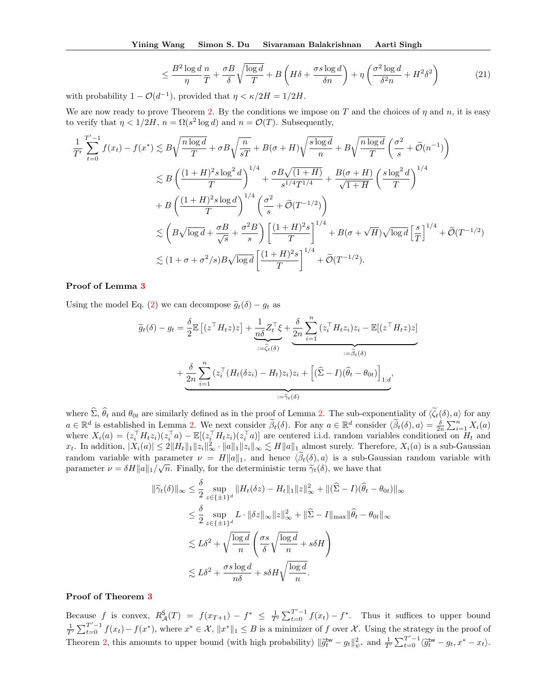$$
\leq \frac{B^2 \log d}{\eta} \frac{n}{T} + \frac{\sigma B}{\delta} \sqrt{\frac{\log d}{T}} + B \left( H \delta + \frac{\sigma s \log d}{\delta n} \right) + \eta \left( \frac{\sigma^2 \log d}{\delta^2 n} + H^2 \delta^2 \right) \tag{21}
$$

with probability  $1 - \mathcal{O}(d^{-1})$ , provided that  $\eta < \kappa/2H = 1/2H$ .

We are now ready to prove Theorem 2. By the conditions we impose on T and the choices of  $\eta$  and  $n$ , it is easy to verify that  $\eta < 1/2H$ ,  $n = \Omega(s^2 \log d)$  and  $n = \mathcal{O}(T)$ . Subsequently,

$$
\frac{1}{T'}\sum_{t=0}^{T'-1} f(x_t) - f(x^*) \lesssim B\sqrt{\frac{n\log d}{T}} + \sigma B\sqrt{\frac{n}{sT}} + B(\sigma + H)\sqrt{\frac{s\log d}{n}} + B\sqrt{\frac{n\log d}{T}} \left(\frac{\sigma^2}{s} + \tilde{O}(n^{-1})\right)
$$
  

$$
\lesssim B\left(\frac{(1+H)^2 s\log^2 d}{T}\right)^{1/4} + \frac{\sigma B\sqrt{(1+H)}}{s^{1/4}T^{1/4}} + \frac{B(\sigma + H)}{\sqrt{1+H}} \left(\frac{s\log^2 d}{T}\right)^{1/4}
$$
  

$$
+ B\left(\frac{(1+H)^2 s\log d}{T}\right)^{1/4} \left(\frac{\sigma^2}{s} + \tilde{O}(T^{-1/2})\right)
$$
  

$$
\lesssim \left(B\sqrt{\log d} + \frac{\sigma B}{\sqrt{s}} + \frac{\sigma^2 B}{s}\right) \left[\frac{(1+H)^2 s}{T}\right]^{1/4} + B(\sigma + \sqrt{H})\sqrt{\log d} \left[\frac{s}{T}\right]^{1/4} + \tilde{O}(T^{-1/2})
$$
  

$$
\lesssim (1+\sigma + \sigma^2/s)B\sqrt{\log d} \left[\frac{(1+H)^2 s}{T}\right]^{1/4} + \tilde{O}(T^{-1/2}).
$$

## Proof of Lemma 3

Using the model Eq. (2) we can decompose  $\tilde{g}_t(\delta) - g_t$  as

$$
\widetilde{g}_t(\delta) - g_t = \frac{\delta}{2} \mathbb{E} \left[ (z^\top H_t z) z \right] + \underbrace{\frac{1}{n\delta} Z_t^\top \xi}_{:= \widetilde{\zeta}_t(\delta)} + \underbrace{\frac{\delta}{2n} \sum_{i=1}^n (z_i^\top H_t z_i) z_i}_{:= \widetilde{\zeta}_t(\delta)} - \underbrace{\frac{\delta}{2n} \sum_{i=1}^n (z_i^\top (H_t(\delta z_i) - H_t) z_i) z_i}_{:= \widetilde{\gamma}_t(\delta)} + \underbrace{\frac{\delta}{2n} \sum_{i=1}^n (z_i^\top (H_t(\delta z_i) - H_t) z_i) z_i}_{:= \widetilde{\gamma}_t(\delta)} + \underbrace{\left[ (\widehat{\Sigma} - I)(\widehat{\theta}_t - \theta_{0t}) \right]_{1:d}},
$$

where  $\hat{\Sigma}$ ,  $\hat{\theta}_t$  and  $\theta_{0t}$  are similarly defined as in the proof of Lemma 2. The sub-exponentiality of  $\langle \tilde{\zeta}_t(\delta), a \rangle$  for any  $a \in \mathbb{R}^d$  is established in Lemma 2. We next consider  $\widetilde{\beta}_t(\delta)$ . For any  $a \in \mathbb{R}^d$  consider  $\langle \widetilde{\beta}_t(\delta), a \rangle = \frac{\delta}{2n} \sum_{i=1}^n X_i(a)$ where  $X_i(a) = (z_i^\top H_t z_i)(z_i^\top a) - \mathbb{E}[(z_i^\top H_t z_i)(z_i^\top a)]$  are centered i.i.d. random variables conditioned on  $H_t$  and  $x_t$ . In addition,  $|X_i(a)| \leq 2||H_t||_1 ||z_i||_{\infty} \cdot ||a||_1 ||z_i||_{\infty} \lesssim H||a||_1$  almost surely. Therefore,  $X_i(a)$  is a sub-Gaussian random variable with parameter  $\nu = H||a||_1$ , and hence  $\langle \tilde{\beta}_t(\delta), a \rangle$  is a sub-Gaussian random variable with parameter  $\nu = \delta H \|a\|_1 / \sqrt{n}$ . Finally, for the deterministic term  $\tilde{\gamma}_t(\delta)$ , we have that

$$
\|\widetilde{\gamma}_t(\delta)\|_{\infty} \leq \frac{\delta}{2} \sup_{z \in \{\pm 1\}^d} \|H_t(\delta z) - H_t\|_{1} \|z\|_{\infty}^2 + \|(\widehat{\Sigma} - I)(\widehat{\theta}_t - \theta_{0t})\|_{\infty}
$$
  

$$
\leq \frac{\delta}{2} \sup_{z \in \{\pm 1\}^d} L \cdot \|\delta z\|_{\infty} \|z\|_{\infty}^2 + \|\widehat{\Sigma} - I\|_{\max} \|\widehat{\theta}_t - \theta_{0t}\|_{\infty}
$$
  

$$
\lesssim L\delta^2 + \sqrt{\frac{\log d}{n}} \left(\frac{\sigma s}{\delta} \sqrt{\frac{\log d}{n}} + s\delta H\right)
$$
  

$$
\lesssim L\delta^2 + \frac{\sigma s \log d}{n\delta} + s\delta H \sqrt{\frac{\log d}{n}}.
$$

#### Proof of Theorem 3

Because f is convex,  $R_{\mathcal{A}}^{\mathcal{S}}(T) = f(x_{T+1}) - f^* \leq \frac{1}{T'} \sum_{t=0}^{T'-1} f(x_t) - f^*$ . Thus it suffices to upper bound  $\frac{1}{T'}\sum_{t=0}^{T'-1} f(x_t) - f(x^*)$ , where  $x^* \in \mathcal{X}$ ,  $||x^*||_1 \leq B$  is a minimizer of f over X. Using the strategy in the proof of Theorem 2, this amounts to upper bound (with high probability)  $\|\widetilde{g}_t^{\mathsf{tw}} - g_t\|_{\psi^*}^2$  and  $\frac{1}{T'} \sum_{t=0}^{T'-1} \langle \widetilde{g}_t^{\mathsf{tw}} - g_t, x^* - x_t \rangle$ .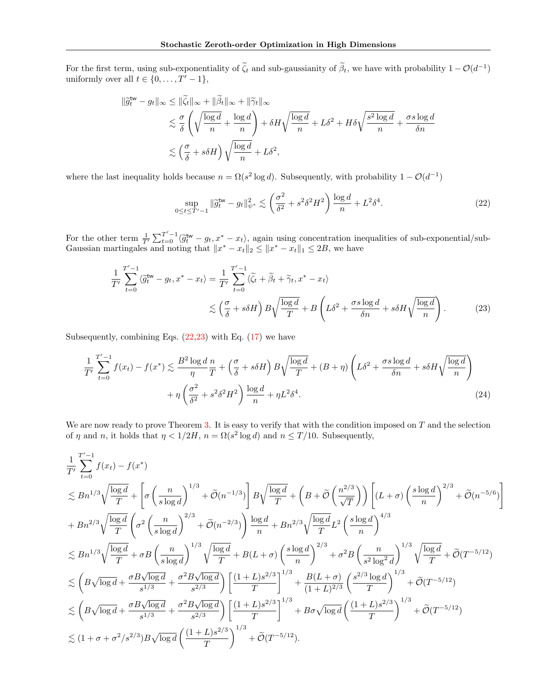For the first term, using sub-exponentiality of  $\zeta_t$  and sub-gaussianity of  $\beta_t$ , we have with probability  $1 - \mathcal{O}(d^{-1})$ uniformly over all  $t \in \{0, \ldots, T' - 1\},\$ 

$$
\|\widetilde{g}_t^{\text{tw}} - g_t\|_{\infty} \le \|\widetilde{\zeta}_t\|_{\infty} + \|\widetilde{\beta}_t\|_{\infty} + \|\widetilde{\gamma}_t\|_{\infty}
$$
  

$$
\lesssim \frac{\sigma}{\delta} \left( \sqrt{\frac{\log d}{n}} + \frac{\log d}{n} \right) + \delta H \sqrt{\frac{\log d}{n}} + L\delta^2 + H\delta \sqrt{\frac{s^2 \log d}{n}} + \frac{\sigma s \log d}{\delta n}
$$
  

$$
\lesssim \left(\frac{\sigma}{\delta} + s\delta H\right) \sqrt{\frac{\log d}{n}} + L\delta^2,
$$

where the last inequality holds because  $n = \Omega(s^2 \log d)$ . Subsequently, with probability  $1 - \mathcal{O}(d^{-1})$ 

$$
\sup_{0 \le t \le T'-1} \|\tilde{g}_t^{\text{tw}} - g_t\|_{\psi^*}^2 \lesssim \left(\frac{\sigma^2}{\delta^2} + s^2 \delta^2 H^2\right) \frac{\log d}{n} + L^2 \delta^4. \tag{22}
$$

For the other term  $\frac{1}{T} \sum_{t=0}^{T'-1} \langle \tilde{g}_t^{\text{tw}} - g_t, x^* - x_t \rangle$ , again using concentration inequalities of sub-exponential/sub-<br>Consider mention less and still with the sub-exponential of the sub-exponential of the su Gaussian martingales and noting that  $||x^* - x_t||_2 \le ||x^* - x_t||_1 \le 2B$ , we have

$$
\frac{1}{T'}\sum_{t=0}^{T'-1} \langle \tilde{g}_t^{\mathsf{tw}} - g_t, x^* - x_t \rangle = \frac{1}{T'}\sum_{t=0}^{T'-1} \langle \tilde{\zeta}_t + \tilde{\beta}_t + \tilde{\gamma}_t, x^* - x_t \rangle
$$
  

$$
\lesssim \left(\frac{\sigma}{\delta} + s\delta H\right) B \sqrt{\frac{\log d}{T}} + B \left(L\delta^2 + \frac{\sigma s \log d}{\delta n} + s\delta H \sqrt{\frac{\log d}{n}}\right). \tag{23}
$$

Subsequently, combining Eqs.  $(22,23)$  with Eq.  $(17)$  we have

$$
\frac{1}{T'}\sum_{t=0}^{T'-1} f(x_t) - f(x^*) \lesssim \frac{B^2 \log d}{\eta} \frac{n}{T} + \left(\frac{\sigma}{\delta} + s\delta H\right) B \sqrt{\frac{\log d}{T}} + (B + \eta) \left(L\delta^2 + \frac{\sigma s \log d}{\delta n} + s\delta H \sqrt{\frac{\log d}{n}}\right) + \eta \left(\frac{\sigma^2}{\delta^2} + s^2 \delta^2 H^2\right) \frac{\log d}{n} + \eta L^2 \delta^4. \tag{24}
$$

We are now ready to prove Theorem 3. It is easy to verify that with the condition imposed on  $T$  and the selection of  $\eta$  and  $n$ , it holds that  $\eta < 1/2H$ ,  $n = \Omega(s^2 \log d)$  and  $n \le T/10$ . Subsequently,

$$
\begin{split} &\frac{1}{T'}\sum_{t=0}^{T'-1}f(x_t)-f(x^*)\\ &\lesssim Bn^{1/3}\sqrt{\frac{\log d}{T}}+\left[\sigma\left(\frac{n}{s\log d}\right)^{1/3}+\widetilde{\mathcal{O}}(n^{-1/3})\right]B\sqrt{\frac{\log d}{T}}+\left(B+\widetilde{\mathcal{O}}\left(\frac{n^{2/3}}{\sqrt{T}}\right)\right)\left[(L+\sigma)\left(\frac{s\log d}{n}\right)^{2/3}+\widetilde{\mathcal{O}}(n^{-5/6})\right]\\ &+Bn^{2/3}\sqrt{\frac{\log d}{T}}\left(\sigma^2\left(\frac{n}{s\log d}\right)^{2/3}+\widetilde{\mathcal{O}}(n^{-2/3})\right)\frac{\log d}{n}+Bn^{2/3}\sqrt{\frac{\log d}{T}}L^2\left(\frac{s\log d}{n}\right)^{4/3}\\ &\lesssim Bn^{1/3}\sqrt{\frac{\log d}{T}}+\sigma B\left(\frac{n}{s\log d}\right)^{1/3}\sqrt{\frac{\log d}{T}}+B(L+\sigma)\left(\frac{s\log d}{n}\right)^{2/3}+\sigma^2 B\left(\frac{n}{s^2\log^2 d}\right)^{1/3}\sqrt{\frac{\log d}{T}}+\widetilde{\mathcal{O}}(T^{-5/12})\\ &\lesssim \left(B\sqrt{\log d}+\frac{\sigma B\sqrt{\log d}}{s^{1/3}}+\frac{\sigma^2 B\sqrt{\log d}}{s^{2/3}}\right)\left[\frac{(1+L)s^{2/3}}{T}\right]^{1/3}+\frac{B(L+\sigma)}{(1+L)^{2/3}}\left(\frac{s^{2/3}\log d}{T}\right)^{1/3}+\widetilde{\mathcal{O}}(T^{-5/12})\\ &\lesssim \left(B\sqrt{\log d}+\frac{\sigma B\sqrt{\log d}}{s^{1/3}}+\frac{\sigma^2 B\sqrt{\log d}}{s^{2/3}}\right)\left[\frac{(1+L)s^{2/3}}{T}\right]^{1/3}+B\sigma\sqrt{\log d}\left(\frac{(1+L)s^{2/3}}{T}\right)^{1/3}+\widetilde{\mathcal{O}}(T^{-5/12})\\ &\lesssim (1+\sigma+\sigma^2/s^{2/3})B\sqrt{\log d}\left(\frac{(1+L)s^{2/3}}{T}\right)^{1/3}+\widetilde{\mathcal{O}}(T^{-5/12}). \end{split}
$$